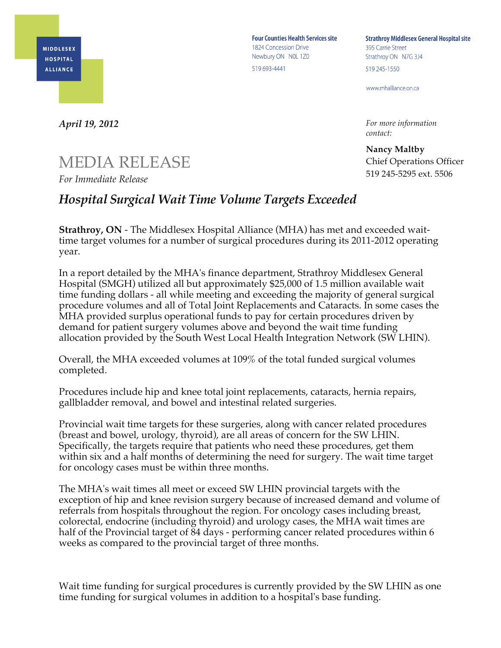

**Four Counties Health Services site** 1824 Concession Drive Newbury ON NOL 1Z0 519 693-4441

**Strathroy Middlesex General Hospital site** 395 Carrie Street Strathroy ON N7G 3J4 519 245-1550

www.mhalliance.on.ca

*For more information contact:*

**Nancy Maltby** Chief Operations Officer 519 245-5295 ext. 5506

*April 19, 2012*

## MEDIA RELEASE

*For Immediate Release*

## *Hospital Surgical Wait Time Volume Targets Exceeded*

**Strathroy, ON** - The Middlesex Hospital Alliance (MHA) has met and exceeded waittime target volumes for a number of surgical procedures during its 2011-2012 operating year.

In a report detailed by the MHA's finance department, Strathroy Middlesex General Hospital (SMGH) utilized all but approximately \$25,000 of 1.5 million available wait time funding dollars - all while meeting and exceeding the majority of general surgical procedure volumes and all of Total Joint Replacements and Cataracts. In some cases the MHA provided surplus operational funds to pay for certain procedures driven by demand for patient surgery volumes above and beyond the wait time funding allocation provided by the South West Local Health Integration Network (SW LHIN).

Overall, the MHA exceeded volumes at 109% of the total funded surgical volumes completed.

Procedures include hip and knee total joint replacements, cataracts, hernia repairs, gallbladder removal, and bowel and intestinal related surgeries.

Provincial wait time targets for these surgeries, along with cancer related procedures (breast and bowel, urology, thyroid), are all areas of concern for the SW LHIN. Specifically, the targets require that patients who need these procedures, get them within six and a half months of determining the need for surgery. The wait time target for oncology cases must be within three months.

The MHA's wait times all meet or exceed SW LHIN provincial targets with the exception of hip and knee revision surgery because of increased demand and volume of referrals from hospitals throughout the region. For oncology cases including breast, colorectal, endocrine (including thyroid) and urology cases, the MHA wait times are half of the Provincial target of 84 days - performing cancer related procedures within 6 weeks as compared to the provincial target of three months.

Wait time funding for surgical procedures is currently provided by the SW LHIN as one time funding for surgical volumes in addition to a hospital's base funding.